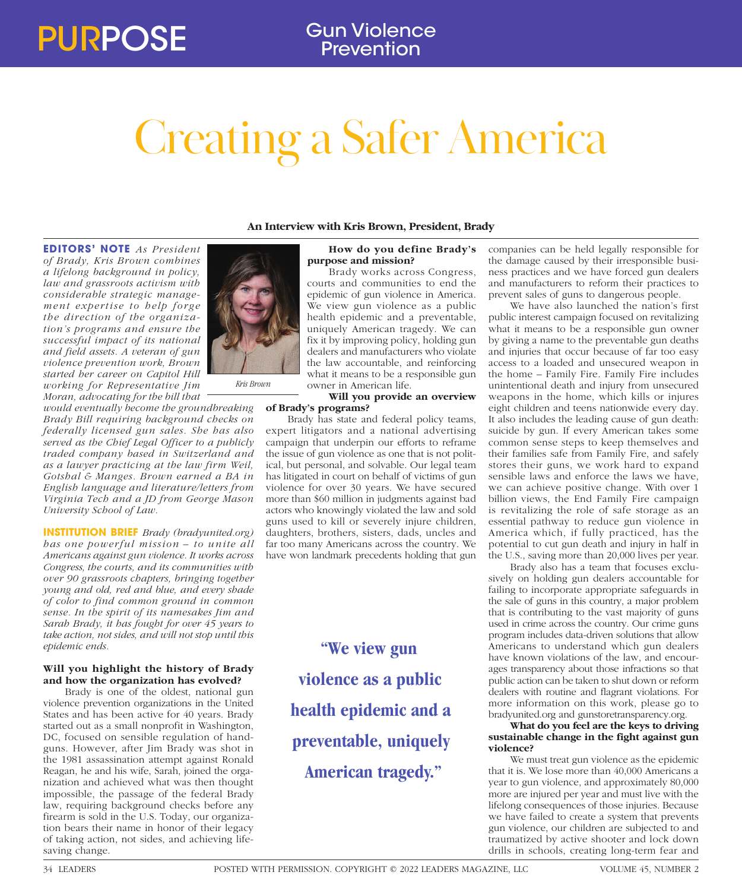# Creating a Safer America

**EDITORS' NOTE** *As President of Brady, Kris Brown combines a lifelong background in policy, law and grassroots activism with considerable strategic management expertise to help forge the direction of the organization's programs and ensure the successful impact of its national and field assets. A veteran of gun violence prevention work, Brown started her career on Capitol Hill working for Representative Jim Moran, advocating for the bill that* 

*would eventually become the groundbreaking Brady Bill requiring background checks on federally licensed gun sales. She has also served as the Chief Legal Officer to a publicly traded company based in Switzerland and as a lawyer practicing at the law firm Weil, Gotshal & Manges. Brown earned a BA in English language and literature/letters from Virginia Tech and a JD from George Mason University School of Law.*

**INSTITUTION BRIEF** *Brady (bradyunited.org) has one power ful mission – to unite all Americans against gun violence. It works across Congress, the courts, and its communities with over 90 grassroots chapters, bringing together young and old, red and blue, and every shade of color to find common ground in common sense. In the spirit of its namesakes Jim and Sarah Brady, it has fought for over 45 years to take action, not sides, and will not stop until this epidemic ends.* 

### **Will you highlight the history of Brady and how the organization has evolved?**

Brady is one of the oldest, national gun violence prevention organizations in the United States and has been active for 40 years. Brady started out as a small nonprofit in Washington, DC, focused on sensible regulation of handguns. However, after Jim Brady was shot in the 1981 assassination attempt against Ronald Reagan, he and his wife, Sarah, joined the organization and achieved what was then thought impossible, the passage of the federal Brady law, requiring background checks before any firearm is sold in the U.S. Today, our organization bears their name in honor of their legacy of taking action, not sides, and achieving lifesaving change.

# **An Interview with Kris Brown, President, Brady**

# **How do you define Brady's purpose and mission?**

Brady works across Congress, courts and communities to end the epidemic of gun violence in America. We view gun violence as a public health epidemic and a preventable, uniquely American tragedy. We can fix it by improving policy, holding gun dealers and manufacturers who violate the law accountable, and reinforcing what it means to be a responsible gun owner in American life.

**Will you provide an overview** 

# **of Brady's programs?**

Brady has state and federal policy teams, expert litigators and a national advertising campaign that underpin our efforts to reframe the issue of gun violence as one that is not political, but personal, and solvable. Our legal team has litigated in court on behalf of victims of gun violence for over 30 years. We have secured more than \$60 million in judgments against bad actors who knowingly violated the law and sold guns used to kill or severely injure children, daughters, brothers, sisters, dads, uncles and far too many Americans across the country. We have won landmark precedents holding that gun

> **"We view gun violence as a public health epidemic and a preventable, uniquely American tragedy."**

companies can be held legally responsible for the damage caused by their irresponsible business practices and we have forced gun dealers and manufacturers to reform their practices to prevent sales of guns to dangerous people.

We have also launched the nation's first public interest campaign focused on revitalizing what it means to be a responsible gun owner by giving a name to the preventable gun deaths and injuries that occur because of far too easy access to a loaded and unsecured weapon in the home – Family Fire. Family Fire includes unintentional death and injury from unsecured weapons in the home, which kills or injures eight children and teens nationwide every day. It also includes the leading cause of gun death: suicide by gun. If every American takes some common sense steps to keep themselves and their families safe from Family Fire, and safely stores their guns, we work hard to expand sensible laws and enforce the laws we have, we can achieve positive change. With over 1 billion views, the End Family Fire campaign is revitalizing the role of safe storage as an essential pathway to reduce gun violence in America which, if fully practiced, has the potential to cut gun death and injury in half in the U.S., saving more than 20,000 lives per year.

Brady also has a team that focuses exclusively on holding gun dealers accountable for failing to incorporate appropriate safeguards in the sale of guns in this country, a major problem that is contributing to the vast majority of guns used in crime across the country. Our crime guns program includes data-driven solutions that allow Americans to understand which gun dealers have known violations of the law, and encourages transparency about those infractions so that public action can be taken to shut down or reform dealers with routine and flagrant violations. For more information on this work, please go to bradyunited.org and gunstoretransparency.org.

# **What do you feel are the keys to driving sustainable change in the fight against gun violence?**

We must treat gun violence as the epidemic that it is. We lose more than 40,000 Americans a year to gun violence, and approximately 80,000 more are injured per year and must live with the lifelong consequences of those injuries. Because we have failed to create a system that prevents gun violence, our children are subjected to and traumatized by active shooter and lock down drills in schools, creating long-term fear and



*Kris Brown*